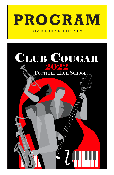

### DAVID MARR AUDITORIUM

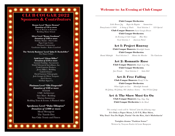# CLUB COUGAR 2022 Sponsors & Contributors

**Bronze Level "Buster Keaton"**  *Donation of \$50 or more* Tails of Rescue in Kahoots Redding Music School

**Silver Level "Benny Goodman"**  *Donation of \$100 or more* Holiday Market - Palo Cedro Pages Copy Center Platinum Construction Goodwater Studios - Kaleo Crawford

**The 'Strictly Business' Level "John D. Rockefeller"**  The Dance Closet

c

.

 $\bullet$ 

 $\bullet$ 

 $\bullet$ 

 $\bullet$ 

 $\bullet$ 

**Gold Level "Glenn Miller"**  *Donation of \$250 or more* Summit Funding - Sacramento World Telecom & Surveillance, Inc. Cook Concrete Products Jersey Mike's - Redding Cask & Cleaver David Laraway Videography Josh Granger & Olivia Torquato Air-O Service McHale Signs Co.

#### **Platinum Level "Ella Fitzgerald"**  *Donation of \$500 or more*

Aramark CMC Architecture Save Mart - Redding Marissa Emmerson Redding Tents & Events: A Planned Affair

**Speakeasy Level "Duke Ellington"**  *Donation of \$1000 or more* Metal Menagerie The Tuxedo Den Sun Oaks Tennis and Fitness

### Welcome to: An Evening at Club Cougar

Club Cougar Orchestra

*Little Brown Jug Begin the Beguine Summertime Pennsylvania 6-5000 A String of Pearls Vocal Selection 1 920 Special* 

> Club Cougar Dancers *Sweet Georgia Brown* Club Cougar Orchestra

> > *An Evening at Club Cougar Blue Skies Vocal Selection 2 American Patrol*

### Act 1: Project Runway

Club Cougar Dancers *Moonlight Sonata* Club Cougar Orchestra *Round Midnight Vocal Selection 3 Minnie the Moocher The Charleston* 

Act 2: Romantic Ruse

Club Cougar Dancers *Maple Leaf Rag* Club Cougar Orchestra *Just Friends Vocal Selection 4 Satin Doll*

### Act 3: Free Falling

Club Cougar Dancers *Woody'N You* Club Cougar Orchestra *When Lights are Low Moonlight Serenade* 

*Oh Johnny, Oh Johnny, Oh! (Andrews Sisters) One O'Clock Jump*

### Act 4: The Show Must Go On

Club Cougar Dancers *Sing, Sing, Sing* Club Cougar Orchestra *In the Mood*

*This evening's vocals will be "Selected" from the following songs:* **It's Only a Paper Moon, L-O-V-E, Blue Skies, Why Don't You Do Right, Puttin' On the Ritz, Ain't Misbehavin'**

> **Tonights drama "Fashion Sense"** Written by Tenyson Fowler & Lexie Burgoyne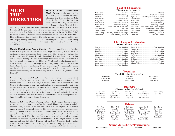# **MEET** TN I I D **DIRECTORS**

**Mitchell Bahr,** *Instrumental Music Directo*r - Currently in his 25th year (20th at Foothill) of music education, Mr. Bahr studied at Biola University (B.A. '96) and the American Band College (M.A. '03). An Anderson High School graduate ('91), Mitch has

been recognized as California State Teacher of the Year ('16) and the CMEA Music Educator of the Year ('20). He is active in the community as a clinician, conductor and adjudicator. Mr. Bahr currently serves as festival host for the Redding Solo/ Ensemble Festival, and coordinates many additional events here in the North State. Here at his dream job at Foothill, Mr. Bahr has thoroughly enjoyed building the music department by cultivating the talents and energies of these wonderful, young musicians. He is married to Carmen Bahr ('95), and they have two children (Isabelle, 19 and Isaac, 17).

**Natalie Hendrickson,** *Drama Director* - Natalie Hendrickson is a Redding native as she graduated from Central Valley High School ('88), earned her BFA in English with an emphasis in theater from Chico State University ('92) and has worked for the past 29 years at Foothill High School. Teaching theater is her passion and she enjoys working with students through every aspect of the show whether it be lights, sound, stage combat, etc. This is her 56th Foothill production and she has enjoyed being a part of Club Cougar since the beginning. This summer, she and her husband Jeff will be celebrating 27 years of marriage. "It's amazing how much this show has developed over the years, and we're excited to prove that even with the challenges of today, we can adapt to any situation. Enjoy the magic that is Club Cougar!"

**Ernesto Aguirre,** *Vocal Director* - Mr. Aguirre is currently in his first year (first few weeks, in fact!) of teaching in the public school system, and is a 2014 graduate of Foothill High School. While at FHS, Ernesto was a three-year member of the Club Cougar Orchestra, and a four year band student. After graduating, he went on to earn his Bachelors of Music from San Jose State University, and earned his teaching credential from Simpson University. While enrolled in San Jose State University, Mr. Aguirre was an active musician in the local jazz circles, and maintained a private studio of trombone students. Many of his students went on to participate in All-State Ensembles and touring Youth Orchestras.

**Kathleen Babcock,** *Dance Choreographer* - Kathy began dancing at age 5 with classes in ballet. Shortly thereafter, she expanded her dance training to include ballroom, jazz, and tap. In college, she earned a BA in English with a double minor in Dance & Business Education. She holds both elementary and secondary teaching credentials from Chico State University. After college, Kathy was active as a ballroom dance instructor in a wide variety of styles throughout the Bay Area. Since moving to Redding in 1989, Kathy has choreographed several community ballroom, musical comedy, and dance productions (i.e. Club Cougar, Shasta College musicals and One Safe Place's Dancing with the Stars). Currently, Kathy teaches ballroom dance weekly to adults through her business, Step by Step School of Ballroom Dance. (For more info please visit: www.stepbystepballroomdance.com)

#### Cast of Characters

Director Natalie Hendrickson

|                                                      | Jaxon Holloway  Billy Truman - Detective           |
|------------------------------------------------------|----------------------------------------------------|
|                                                      | Regan Little  Understudy for Newspaper Journalists |
|                                                      |                                                    |
| Madelyn Brown Samantha Livingston                    |                                                    |
| Cadance BrownTrudy Canello-Chiclet Girl              | Devon Rydell  Teno Bulgetti - Paperboy             |
| Dawson Corona Andrew Thomas Keamey                   |                                                    |
| Zoe Flack Frances Achini, Wife of Club Owner         | Bailey SextonCoco Channel, French Fashion Designer |
|                                                      | Daniel ShahbonRalph Minnittee - Head Bouncer       |
| Ashton Fulkerson Tank Ross-Bouncer                   | Faith Touchstone  Tanny Marsche - Reporter         |
| Gavon Geddings Fred Achini, Owner of the Club Cougar | Mia Wallace Understudy - Chicklet Girl             |
| Sonora Gordon Rose Buttercup, Chicklet Girl          |                                                    |

#### Club Cougar Orchestra Music Director Mitch Bahr

#### Vocalists

Vocal Director Ernesto Aguirre

Hannah Jones Samantha Clark Tessa Walker

Cody Hawes Wyatt Molter Helaina Rogers

UNDERSTUDIES: Lilly Martin Sydney Sutton

#### Dancers

Choreographer Kathy Babcock

Rebecca Abreu Samantha Clark Mekenzie Corn Nicole Covert

Kaylin Dresen Camille Erickson Sophia Hathaway Katie McCollum

Maci Pontoni Emma Shaw David Abreu Kaden Back Isaac Bahr Jace Christofferson AJ Kinder Nathan Peterson

Brody Redding Michael Steen

### Ushers

Yeleny Flores Anastasia Weese Olive Benninghoven Emily Cash Logan Gibson Cooper Seller Jayda Moran Matthew Varela Alina Miller Isaac Dell Christian Zanotelli Mariah Pelayo Sofia Belikov Emily Rider

Mikalyn Lane Melissa Manzano Luke Guggenbickler Raelyn Sargent Tiffany Sugimoto Trinity Ryan

Melissa Nawrath Maisa Assaf Grace Benninghoven Savannah Briggs Ava Cole Jenna Colgate

Mackenzie Enbody

Xavier Flores Evie Harrington Elaina Kern Renee Mast Natalie Molz Jasper Sexton

# **Sound & Lighting Technicians**

Avery Christofferson Laura Diaz Ashli Schafer Caerys Bean

Jordan DeStephens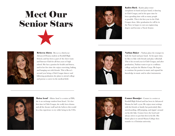



Kaden Back - Kaden plays tenor saxophone in band and jazz band, is dancing in Club Cougar, and in his spare time he loves spending time with as many people as possible. This is his first year in the Club Cougar show. After graduation he will be in the Navy in hopes to earn an engineering degree and become a Naval Aviator.



Rebecca Abreu - Becca is a third-year Advanced Drama student at Foothill High School, and has been a part of the cheer team and Interact Club for all four years of high school. She has a passion for health and fitness, and in her free time she enjoys exercising, baking, and hanging out with friends. This is Becca's second year being a Club Cougar dancer and following graduation she plans to attend college and pursue a career in the medical field.



**Nathan Baker** - Nathan plays the trumpet in both the band and jazz band. In his spare time, he likes to bike with friends and play volleyball. This is his second year in Club Cougar, and after graduation, Nathan wants to go to a military college and join the Marine Corps. He hopes to continue his passion in music and expand his knowledge in music and in other instruments.



Maisa Assaf - Maisa Assaf is a senior at FHS, she is an exchange student from Israel. It is her first time in Club Cougar, she really loves drama and all the theater stuff and she believes this would be a fun experience to try while being in the USA.



Conner Boontjer - Conner is a senior at Foothill High School and has been in Advanced Drama for half a year. He enjoys most settings with his friends or family but particularly likes snowboarding, cliff jumping, and rippin' around on his dirt bike. Conner loves the Lord and always strives to put him first in his life. His future plan is to attend Shasta College then transfer to a Christian university.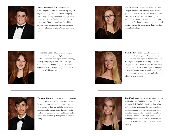

Jace Christofferson - Jace has been a Club Cougar dancer since Freshman year. Jace enjoys spending time with friends, camping, and fishing. Throughout high school, Jace has participated on the football team and on the track team. After Jace graduates he will be serving a two year mission for his church and then he will attend Brigham Young University-Idaho.



Nicole Covert - Nicole is a dancer in Club Cougar, and has been dancing since the second grade. She likes to dance, hike, and spend time with friends in her free time. After high school she plans to go to college and get a bachelors in nursing. She hopes to continue to dance, and possibly pursue this passion as a dance teacher, throughout college.



Mekenzie Corn - Mekenzie is a first year dancer in Club Cougar, and plays cello in the Foothill Orchestra. She enjoys painting, hiking, baking, and going on road trips. After high school she plans on finishing her associate's degree at Shasta College and going to culinary school at Washington state.



Camille Erickson - Camille has been a dancer in Club Cougar for three years, is on the swim team and is part of the Interact Club. She enjoys hiking and exercising, as well as hanging out with friends in her free time. After high school, Camille plans on getting a degree in kinesiology and going to medical school after that. She hopes to keep dancing and swimming all throughout college.



Dawson Corona - Dawson is a senior in high school this year and has been in drama 3 years. In his spare time he likes hanging out with the boys whenever they can and play games. After graduation, he is going to go through Shasta College for a couple of years and then transfer somewhere else to hopefully pursue a career in acting.



Zoe Flack - Zoe Flack is a 4 year drama student and has been on Foothill's cheer team for all 4 years as well. In her little bits of free time (when she's not doing homework) she loves everything from adventuring with her friends to listening to Broadway musicals. Her favorite food combo is sushi and kombucha. After high school, Zoe is planning to move SoCal with her friends where she hopes to pursue a career in the entertainment industry.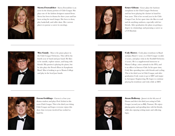

Sierra Frownfelter - Sierra Frownfelter is an actor in the drama portion of Club Cougar. She plays one of the fashion designers named Irene. Sierra has been in drama for three years and has been acting for much longer. She loves to draw, play basketball, and roller skate. Her current plan is to pursue a career in oncology.



Grace Gibson - Grace plays the baritone saxophone in the Club Cougar Orchestra and has been playing the clarinet in band for four years. This is her second year in the Club Cougar Cast. In her spare time she likes to read and do anything outdoors, especially with her friends. After graduation she plans on getting a degree in criminology and pursuing a career as a US Marshal.



Max Gandy - Max is the piano player in the Club Cougar Orchestra. This will be his fourth year of band and jazz band. He likes to be outside, explore nature, and hang with friends. His passion is playing the piano, but he also plays the French Horn in Symphonic Band. Max is looking to go to Shasta College and play in the local jazz bands.



Cody Hawes - Cody plays trombone in Band and Jazz Band (1 year), is a Club Cougar vocalist (2 years), and plays viola in the Foothill Orchestra (4 years). He is a supplemental instructor at Shasta College, raises animals in the FFA, and is an officer in Interact Club. In his spare time, Cody likes spending time with friends and cycling. This is his third year in Club Cougar, and after graduation Cody wants to go to MIT and major in Aerospace Engineering. He hopes to continue playing his trombone and viola while at MIT.



Gavon Geddings - Gavon is a four year drama student and plays Fred Achini in this years Club Cougar. This is his third year doing Club Cougar and hopes everyone enjoys this show that everyone involved has worked so hard for.



**Jaxon Holloway** - Jaxon is in his 4th year of Drama and this is his third year acting in Club Cougar (second year as Billy Truman). He enjoys playing guitar and spending time with his friends, while also enjoying writing music and collecting legos.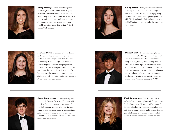

Emily Murray - Emily plays trumpet in Band and Jazz Band, and has been playing violin and viola in orchestra for the last two years. Emily likes to read and write in her spare time, as well as run, hike, and walk outdoors. She wants to pursue a teaching career, and possibly go into writing. This is Emily's third year in Club Cougar.



Bailey Sexton - Bailey is in her second year of acting in Club Cougar, and is a four year Advanced Drama student. She enjoys playing ukulele, making jewelry and spending her time with friends and family. Bailey plans on moving to Florida after graduation and going to college for geology.



Marissa Perez - Marissa is a 4 year drama student, and was previously Don Quixote in Foothills fall main stage production. She will be attending Shasta College, and then later transferring to a CSU and applying to their nursing program. She hopes to continue theater and drama throughout her college career. In her free time, she spends money on hobbies she'll never really get into. Her favorite person is Bruster Baby, her massive cat.



Daniel Shahbon - Daniel is acting for his second year in Club Cougar and is a technical four year drama student. He is a nerd who enjoys reading, writing, and traveling all over with friends. He is a professional ramen eater and a menace to all insects around him. Daniel plans on pursuing a career in the entertainment industry whether it be screenwriting, acting, producing or media. In an exclusive interview Daniel states, "mischief managed /\* <3"



Grant Ramirez - Grant is the guitar player in the Club Cougar Orchestra. This year is his fourth in Band, and his first being a part of the Club Cougar cast. He enjoys playing the drums, guitar, bass, and piano in his spare time. After high school Grant aspires to become a Navy SEAL, then become a freelance musician somewhere out of state.



Faith Touchstone - Faith Touchstone is acting as Tabby Marche, making her Club Cougar debut! She has been involved in drama all four years of her high school career. Faith enjoys spending time with friends, going on hikes, and loves cats. Her life goal is to live in a hobbit house, deep in the lush woods of Iceland living sustainably off the land.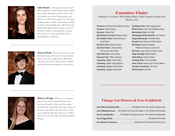

Lilia Turner - Lilia plays the clarinet and alto saxophone in band and jazz band, and has been on the volleyball team for 4 years. This is her fourth year in the band program and third year in the Club Cougar Cast. She enjoys reading, going on walks, volunteering with kids at church, and spending time with friends and family. After high school she plans to earn her bachelor's degree in nursing before earning her master's as a nurse practitioner with a specialization in pediatrics.



Forrest Wood - Forrest is the lead actor for the bouncer Joey. Forrest has been involved in drama each year of high school. With great enjoyment for his role, Forrest wishes all those involved and who watched have a great time!

## Committee Chairs

**Volunteer Leaders Who Help Make Club Cougar So Special**  *Thank you!*

**Producers:** Kimberly Shaw & Beverly Varela **Treasurer:** Kristen Gibson **Secretary:** Nichole Hall **Band Booster President:** Melissa Gandy **Drink Station Chairs:** Denise Murray & Anne Gibson **Hat Check Chair: Becky Connely Cast Food Chairs:** Jessica Sutton, Teri Covert & Alice Binder **Cast Party Chair:** Carol Gordon **Clean-Up Chair:** Tiffany Fulkerson **Costuming - Band:** Carmen Bahr **Costuming - Choir:** Kathy Babcock **Costuming - Dance:** Holly Erickson **Costuming - Drama:** Nichole Hall

**Hairstyling Chair:** Sally Guggenbickler **Kitchen Chairs:** Teri Covert & Melissa Gandy **Merchandise Chair:** Lori Stillie **Photographer/Slide Show/CD:** Julie Pontoni **Program/Newspaper:** Michelle Adams **Security:** Brain Erickson & Robert Steen **Set Design:** Rosanna Redding, Whitney Hathaway & Jackie Corn **Site Crew:** Jason Gibson & Martin Turner **Stage Oversight: Balinda Sexton Table Setting:** Cassie Chatham **Ticketing Chair:** Xina Frownfelter **Usher Chairs:** Renae Lane & Tammy Belikov **Volunteer Coordinator:** Kim Clark **District Sound:** Jeff Knott



Rebecca Wright - Rebecca is a trombone player in the Club Cougar Orchestra, and has been in band for four years. She enjoys spending time with family, and enjoys being out in nature, especially to ski. This is her second year in Club Cougar. She hopes to go to BYU Provo next year and study marriage and family therapy.

### Vintage Car Owners & Cars Exhibited:

| Jerry & Marlene Bronson 1931 Model A Ford Four Door Sedan or 1931 Model A Ford Roadster       |
|-----------------------------------------------------------------------------------------------|
| <b>Ernie &amp; Linda Mandere 1930 Model A Ford Sport Coupe or 1931 Model A Ford Speedster</b> |
|                                                                                               |
|                                                                                               |